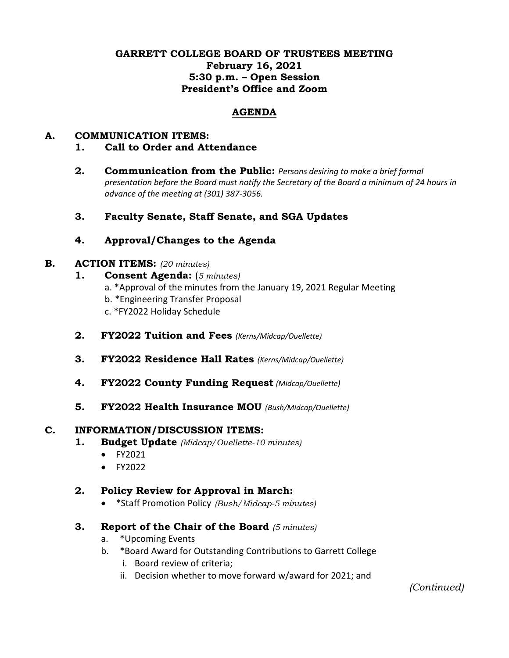### **GARRETT COLLEGE BOARD OF TRUSTEES MEETING February 16, 2021 5:30 p.m. – Open Session President's Office and Zoom**

### **AGENDA**

# **A. COMMUNICATION ITEMS:**

- **1. Call to Order and Attendance**
- **2. Communication from the Public:** *Persons desiring to make a brief formal presentation before the Board must notify the Secretary of the Board a minimum of 24 hours in advance of the meeting at (301) 387-3056.*
- **3. Faculty Senate, Staff Senate, and SGA Updates**

## **4. Approval/Changes to the Agenda**

#### **B. ACTION ITEMS:** *(20 minutes)*

- **1. Consent Agenda:** (*5 minutes)*
	- a. \*Approval of the minutes from the January 19, 2021 Regular Meeting
	- b. \*Engineering Transfer Proposal
	- c. \*FY2022 Holiday Schedule
- **2. FY2022 Tuition and Fees** *(Kerns/Midcap/Ouellette)*
- **3. FY2022 Residence Hall Rates** *(Kerns/Midcap/Ouellette)*
- **4. FY2022 County Funding Request** *(Midcap/Ouellette)*
- **5. FY2022 Health Insurance MOU** *(Bush/Midcap/Ouellette)*

#### **C. INFORMATION/DISCUSSION ITEMS:**

- **1. Budget Update** *(Midcap/Ouellette-10 minutes)*
	- FY2021
	- FY2022

### **2. Policy Review for Approval in March:**

- \*Staff Promotion Policy *(Bush/Midcap-5 minutes)*
- **3. Report of the Chair of the Board** *(5 minutes)*
	- a. \*Upcoming Events
	- b. \*Board Award for Outstanding Contributions to Garrett College
		- i. Board review of criteria;
		- ii. Decision whether to move forward w/award for 2021; and

*(Continued)*